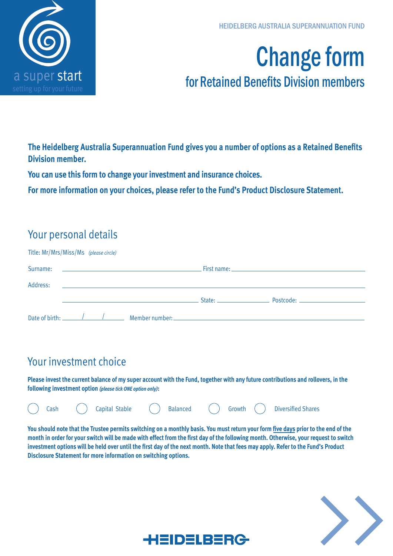

# Change form for Retained Benefits Division members

**The Heidelberg Australia Superannuation Fund gives you a number of options as a Retained Benefits Division member.** 

**You can use this form to change your investment and insurance choices.** 

**For more information on your choices, please refer to the Fund's Product Disclosure Statement.**

### Your personal details

| Title: Mr/Mrs/Miss/Ms (please circle) |  |                                                            |                                                                                                                                                                                                                                |                                                                                                                                                                                                                                     |  |
|---------------------------------------|--|------------------------------------------------------------|--------------------------------------------------------------------------------------------------------------------------------------------------------------------------------------------------------------------------------|-------------------------------------------------------------------------------------------------------------------------------------------------------------------------------------------------------------------------------------|--|
|                                       |  |                                                            |                                                                                                                                                                                                                                | First name: Experience of the contract of the contract of the contract of the contract of the contract of the                                                                                                                       |  |
| Address:                              |  | <u> 1989 - Johann Barn, amerikansk politiker (d. 1989)</u> |                                                                                                                                                                                                                                |                                                                                                                                                                                                                                     |  |
|                                       |  |                                                            | State: and the state of the state of the state of the state of the state of the state of the state of the state of the state of the state of the state of the state of the state of the state of the state of the state of the | Postcode: New York Postcode:                                                                                                                                                                                                        |  |
|                                       |  |                                                            |                                                                                                                                                                                                                                | Date of birth: <u>Alexander Alexander Alexander Alexander:</u> Alexander: Alexander Alexander Alexander Alexander Alexander Alexander Alexander Alexander Alexander Alexander Alexander Alexander Alexander Alexander Alexander Ale |  |

## Your investment choice

**Please invest the current balance of my super account with the Fund, together with any future contributions and rollovers, in the following investment option** *(please tick ONE option only)***:**



**You should note that the Trustee permits switching on a monthly basis. You must return your form five days prior to the end of the month in order for your switch will be made with effect from the first day of the following month. Otherwise, your request to switch investment options will be held over until the first day of the next month. Note that fees may apply. Refer to the Fund's Product Disclosure Statement for more information on switching options.**